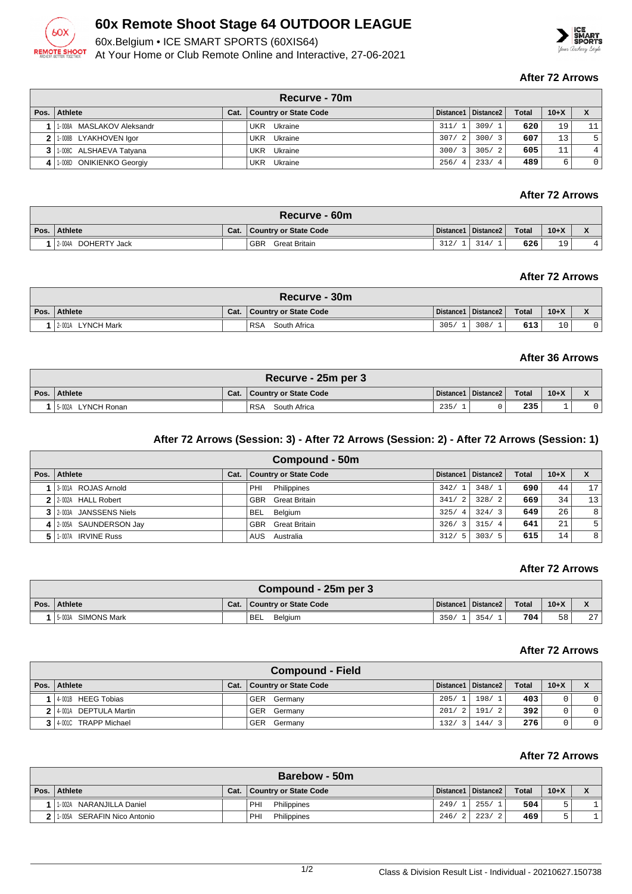

# **60x Remote Shoot Stage 64 OUTDOOR LEAGUE**

60x.Belgium • ICE SMART SPORTS (60XIS64)





#### **After 72 Arrows**

| Recurve - 70m                |      |                       |                        |                       |              |        |                |  |  |
|------------------------------|------|-----------------------|------------------------|-----------------------|--------------|--------|----------------|--|--|
| Pos.   Athlete               | Cat. | Country or State Code |                        | Distance1   Distance2 | <b>Total</b> | $10+X$ |                |  |  |
| 11-008A MASLAKOV Aleksandr   |      | UKR Ukraine           | 311/                   | 309/1                 | 620          | 19     | 11             |  |  |
| 2 1-008B LYAKHOVEN Igor      |      | Ukraine<br>UKR        | 307/<br>$\overline{2}$ | 300/3                 | 607          | 13     | 5              |  |  |
| 3 1.008C ALSHAEVA Tatyana    |      | UKR Ukraine           | 300/<br>$\mathcal{R}$  | 305/2                 | 605          | 11     | $\overline{4}$ |  |  |
| 4   1-008D ONIKIENKO Georgiy |      | Ukraine<br>UKR        | 256/<br>$\overline{4}$ | 233/4                 | 489          | ь      | $\mathbf{0}$   |  |  |

# **After 72 Arrows**

| Recurve - 60m          |      |                             |      |                       |              |        |                                       |  |  |
|------------------------|------|-----------------------------|------|-----------------------|--------------|--------|---------------------------------------|--|--|
| Pos. Athlete           | Cat. | Country or State Code       |      | Distance1   Distance2 | <b>Total</b> | $10+X$ | $\overline{\phantom{a}}$<br>$\lambda$ |  |  |
| 2-004A<br>DOHERTY Jack |      | <b>GBR</b><br>Great Britain | 312/ | 314/                  | 626          | 19     | 4                                     |  |  |

#### **After 72 Arrows**

|      | Recurve - 30m                |      |                            |      |                       |              |           |              |  |  |  |
|------|------------------------------|------|----------------------------|------|-----------------------|--------------|-----------|--------------|--|--|--|
| Pos. | Athlete                      | Cat. | Country or State Code      |      | Distance1   Distance2 | <b>Total</b> | $10+X$    | $\mathbf{v}$ |  |  |  |
|      | <b>LYNCH Mark</b><br>12.001A |      | <b>RSA</b><br>South Africa | 305/ | 308/                  | 613          | 1 N<br>⊥∪ |              |  |  |  |

#### **After 36 Arrows**

| Recurve - 25m per 3      |      |                            |      |                       |              |        |  |  |  |  |
|--------------------------|------|----------------------------|------|-----------------------|--------------|--------|--|--|--|--|
| Pos. Athlete             | Cat. | Country or State Code      |      | Distance1   Distance2 | <b>Total</b> | $10+X$ |  |  |  |  |
| LYNCH Ronan<br>$15-002A$ |      | <b>RSA</b><br>South Africa | 235/ |                       | 235          |        |  |  |  |  |

### **After 72 Arrows (Session: 3) - After 72 Arrows (Session: 2) - After 72 Arrows (Session: 1)**

|      | Compound - 50m          |      |                              |                        |                       |              |        |    |  |  |
|------|-------------------------|------|------------------------------|------------------------|-----------------------|--------------|--------|----|--|--|
| Pos. | Athlete                 | Cat. | <b>Country or State Code</b> |                        | Distance1   Distance2 | <b>Total</b> | $10+X$ |    |  |  |
|      | 3-001A ROJAS Arnold     |      | PHI<br>Philippines           | 342/<br>$^{\prime}$ 1  | 348/1                 | 690          | 44     | 17 |  |  |
|      | 2 2:002A HALL Robert    |      | <b>GBR</b> Great Britain     | 341/<br>$\overline{2}$ | 328/2                 | 669          | 34     | 13 |  |  |
|      | 3 2003A JANSSENS Niels  |      | <b>BEL</b><br>Belgium        | 325/<br>$\overline{4}$ | 324/3                 | 649          | 26     | 8  |  |  |
|      | 4 2-005A SAUNDERSON Jay |      | <b>GBR</b> Great Britain     | 326/<br>3              | 315/4                 | 641          | 21     | 5. |  |  |
|      | 1-007A IRVINE Russ      |      | AUS Australia                | 312/<br>-5             | 303/5                 | 615          | 14     | 8  |  |  |

#### **After 72 Arrows**

| Compound - 25m per 3 |      |                             |      |                       |              |        |                 |  |  |
|----------------------|------|-----------------------------|------|-----------------------|--------------|--------|-----------------|--|--|
| Pos. Athlete         | Cat. | Country or State Code       |      | Distance1   Distance2 | <b>Total</b> | $10+X$ |                 |  |  |
| 15-003A SIMONS Mark  |      | <sup>1</sup> BEL<br>Belgium | 350/ | 354/                  | 704          | 58     | 27 <sup>1</sup> |  |  |

#### **After 72 Arrows**

| <b>Compound - Field</b> |      |                              |       |                       |              |        |                |  |  |
|-------------------------|------|------------------------------|-------|-----------------------|--------------|--------|----------------|--|--|
| Pos. Athlete            | Cat. | <b>Country or State Code</b> |       | Distance1   Distance2 | <b>Total</b> | $10+X$ |                |  |  |
| 4001B HEEG Tobias       |      | GER Germany                  | 205/1 | 198/1                 | 403          |        | $\overline{0}$ |  |  |
| 2 4-001A DEPTULA Martin |      | GER Germany                  |       | $201/2$ 191/2         | 392          | 0      | $\overline{0}$ |  |  |
| 4001C TRAPP Michael     |      | GER Germany                  | 132/3 | 144/3                 | 276          |        | $\overline{0}$ |  |  |

#### **After 72 Arrows**

| Barebow - 50m               |  |                              |      |                       |       |        |  |  |  |
|-----------------------------|--|------------------------------|------|-----------------------|-------|--------|--|--|--|
| Pos.   Athlete              |  | Cat.   Country or State Code |      | Distance1   Distance2 | Total | $10+X$ |  |  |  |
| NARANJILLA Daniel<br>1-002A |  | PHI<br>Philippines           | 249/ | 255/                  | 504   |        |  |  |  |
| 1-005A SERAFIN Nico Antonio |  | PHI<br>Philippines           |      | 246/2   223/2         | 469   |        |  |  |  |